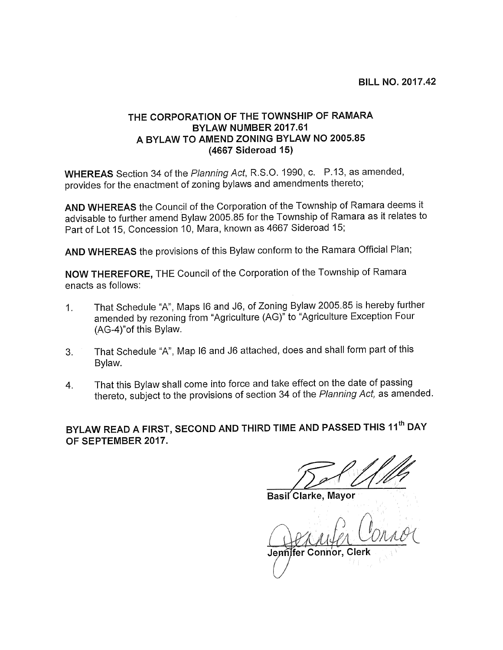BILL NO. 2017.42

## THE CORPORATION OF THE TOWNSHIP OF RAMARA BYLAW NUMBER 2017.61 A BYLAW TO AMEND ZONING BYLAW NO 2005.85 (4667 Sideroad 15)

WHEREAS Section 34 of the Planning Act, R.S.O. 1990, c. P.13, as amended, provides for the enactment of zoning bylaws and amendments thereto;

AND WHEREAS the Council of the Corporation of the Township of Ramara deems it advisable to further amend Bylaw 2005.85 for the Township of Ramara as it relates to Part of Lot 15, Concession 10, Mara, known as 4667 Sideroad 15;

AND WHEREAS the provisions of this Bylaw conform to the Ramara Official Plan;

NOW THEREFORE, THE Council of the Corporation of the Township of Ramara enacts as follows:

- 1. That Schedule "A", Maps <sup>16</sup> and J6, of Zoning Bylaw 2005.85 is hereby further amended by rezoning from "Agriculture (AG)" to "Agriculture Exception Four (AG-4)"of this Bylaw.
- 3. That Schedule "A", Map <sup>16</sup> and J6 attached, does and shall form part of this Bylaw.
- 4. That this Bylaw shall come into force and take effect on the date of passing thereto, subject to the provisions of section 34 of the Planning Act, as amended.

BYLAW READ A FIRST, SECOND AND THIRD TIME AND PASSED THIS 11<sup>th</sup> DAY OF SEPTEMBER 2017.

Basil'Clarke, Mayor

Gerrifer

Jennifer Connor, Clerk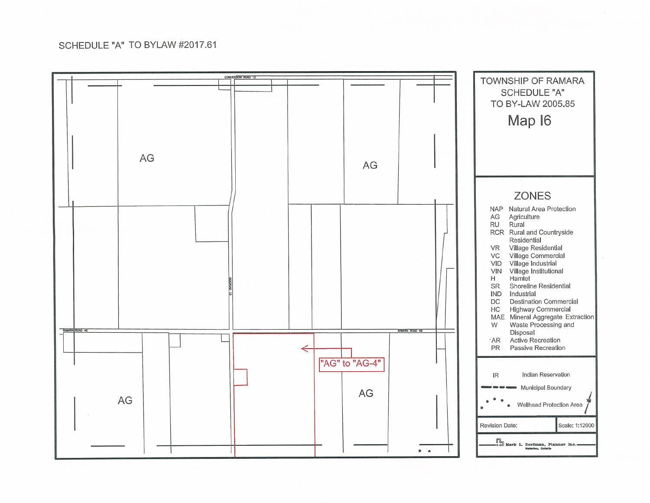## SCHEDULE "A" TO BYLAW #2017.61